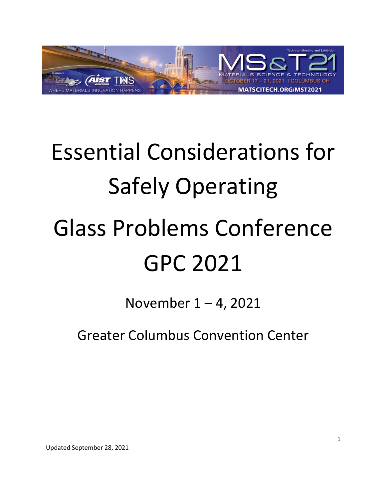

# Essential Considerations for Safely Operating Glass Problems Conference GPC 2021

November 1 – 4, 2021

Greater Columbus Convention Center

Updated September 28, 2021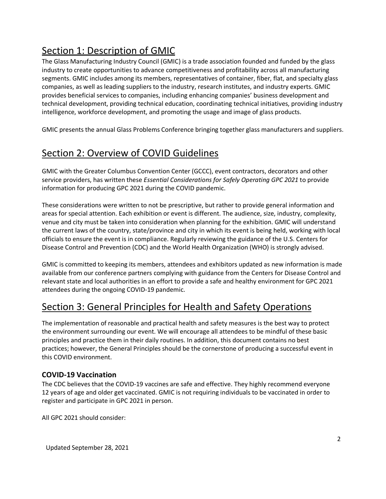# Section 1: Description of GMIC

The Glass Manufacturing Industry Council (GMIC) is a trade association founded and funded by the glass industry to create opportunities to advance competitiveness and profitability across all manufacturing segments. GMIC includes among its members, representatives of container, fiber, flat, and specialty glass companies, as well as leading suppliers to the industry, research institutes, and industry experts. GMIC provides beneficial services to companies, including enhancing companies' business development and technical development, providing technical education, coordinating technical initiatives, providing industry intelligence, workforce development, and promoting the usage and image of glass products.

GMIC presents the annual Glass Problems Conference bringing together glass manufacturers and suppliers.

# Section 2: Overview of COVID Guidelines

GMIC with the Greater Columbus Convention Center (GCCC), event contractors, decorators and other service providers, has written these *Essential Considerations for Safely Operating GPC 2021* to provide information for producing GPC 2021 during the COVID pandemic.

These considerations were written to not be prescriptive, but rather to provide general information and areas for special attention. Each exhibition or event is different. The audience, size, industry, complexity, venue and city must be taken into consideration when planning for the exhibition. GMIC will understand the current laws of the country, state/province and city in which its event is being held, working with local officials to ensure the event is in compliance. Regularly reviewing the guidance of the U.S. Centers for Disease Control and Prevention (CDC) and the World Health Organization (WHO) is strongly advised.

GMIC is committed to keeping its members, attendees and exhibitors updated as new information is made available from our conference partners complying with guidance from the Centers for Disease Control and relevant state and local authorities in an effort to provide a safe and healthy environment for GPC 2021 attendees during the ongoing COVID-19 pandemic.

## Section 3: General Principles for Health and Safety Operations

The implementation of reasonable and practical health and safety measures is the best way to protect the environment surrounding our event. We will encourage all attendees to be mindful of these basic principles and practice them in their daily routines. In addition, this document contains no best practices; however, the General Principles should be the cornerstone of producing a successful event in this COVID environment.

## **COVID-19 Vaccination**

The CDC believes that the COVID-19 vaccines are safe and effective. They highly recommend everyone 12 years of age and older get vaccinated. GMIC is not requiring individuals to be vaccinated in order to register and participate in GPC 2021 in person.

All GPC 2021 should consider: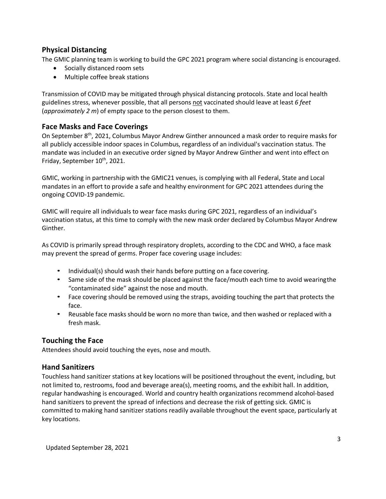#### **Physical Distancing**

The GMIC planning team is working to build the GPC 2021 program where social distancing is encouraged.

- Socially distanced room sets
- Multiple coffee break stations

Transmission of COVID may be mitigated through physical distancing protocols. State and local health guidelines stress, whenever possible, that all persons not vaccinated should leave at least *6 feet*  (*approximately 2 m*) of empty space to the person closest to them.

#### **Face Masks and Face Coverings**

On September 8th, 2021, Columbus Mayor Andrew Ginther announced a mask order to require masks for all publicly accessible indoor spaces in Columbus, regardless of an individual's vaccination status. The mandate was included in an executive order signed by Mayor Andrew Ginther and went into effect on Friday, September 10<sup>th</sup>, 2021.

GMIC, working in partnership with the GMIC21 venues, is complying with all Federal, State and Local mandates in an effort to provide a safe and healthy environment for GPC 2021 attendees during the ongoing COVID-19 pandemic.

GMIC will require all individuals to wear face masks during GPC 2021, regardless of an individual's vaccination status, at this time to comply with the new mask order declared by Columbus Mayor Andrew Ginther.

As COVID is primarily spread through respiratory droplets, according to the CDC and WHO, a face mask may prevent the spread of germs. Proper face covering usage includes:

- Individual(s) should wash their hands before putting on a face covering.
- Same side of the mask should be placed against the face/mouth each time to avoid wearingthe "contaminated side" against the nose and mouth.
- Face covering should be removed using the straps, avoiding touching the part that protects the face.
- Reusable face masks should be worn no more than twice, and then washed or replaced with a fresh mask.

## **Touching the Face**

Attendees should avoid touching the eyes, nose and mouth.

#### **Hand Sanitizers**

Touchless hand sanitizer stations at key locations will be positioned throughout the event, including, but not limited to, restrooms, food and beverage area(s), meeting rooms, and the exhibit hall. In addition, regular handwashing is encouraged. World and country health organizations recommend alcohol-based hand sanitizers to prevent the spread of infections and decrease the risk of getting sick. GMIC is committed to making hand sanitizer stations readily available throughout the event space, particularly at key locations.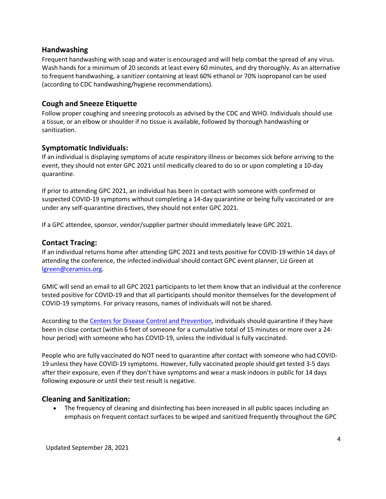#### **Handwashing**

Frequent handwashing with soap and water is encouraged and will help combat the spread of any virus. Wash hands for a minimum of 20 seconds at least every 60 minutes, and dry thoroughly. As an alternative to frequent handwashing, a sanitizer containing at least 60% ethanol or 70% isopropanol can be used (according to CDC handwashing/hygiene recommendations).

#### **Cough and Sneeze Etiquette**

Follow proper coughing and sneezing protocols as advised by the CDC and WHO. Individuals should use a tissue, or an elbow or shoulder if no tissue is available, followed by thorough handwashing or sanitization.

#### **Symptomatic Individuals:**

If an individual is displaying symptoms of acute respiratory illness or becomes sick before arriving to the event, they should not enter GPC 2021 until medically cleared to do so or upon completing a 10-day quarantine.

If prior to attending GPC 2021, an individual has been in contact with someone with confirmed or suspected COVID-19 symptoms without completing a 14-day quarantine or being fully vaccinated or are under any self-quarantine directives, they should not enter GPC 2021.

If a GPC attendee, sponsor, vendor/supplier partner should immediately leave GPC 2021.

#### **Contact Tracing:**

If an individual returns home after attending GPC 2021 and tests positive for COVID-19 within 14 days of attending the conference, the infected individual should contact GPC event planner, Liz Green at lgreen@ceramics.org.

GMIC will send an email to all GPC 2021 participants to let them know that an individual at the conference tested positive for COVID-19 and that all participants should monitor themselves for the development of COVID-19 symptoms. For privacy reasons, names of individuals will not be shared.

According to the Centers for Disease Control and Prevention, individuals should quarantine if they have been in close contact (within 6 feet of someone for a cumulative total of 15 minutes or more over a 24 hour period) with someone who has COVID-19, unless the individual is fully vaccinated.

People who are fully vaccinated do NOT need to quarantine after contact with someone who had COVID-19 unless they have COVID-19 symptoms. However, fully vaccinated people should get tested 3-5 days after their exposure, even if they don't have symptoms and wear a mask indoors in public for 14 days following exposure or until their test result is negative.

#### **Cleaning and Sanitization:**

• The frequency of cleaning and disinfecting has been increased in all public spaces including an emphasis on frequent contact surfaces to be wiped and sanitized frequently throughout the GPC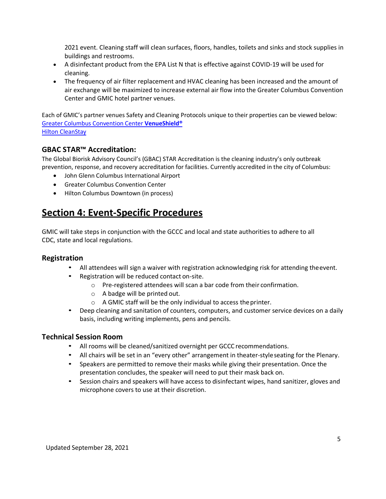2021 event. Cleaning staff will clean surfaces, floors, handles, toilets and sinks and stock supplies in buildings and restrooms.

- A disinfectant product from the EPA List N that is effective against COVID-19 will be used for cleaning.
- The frequency of air filter replacement and HVAC cleaning has been increased and the amount of air exchange will be maximized to increase external air flow into the Greater Columbus Convention Center and GMIC hotel partner venues.

Each of GMIC's partner venues Safety and Cleaning Protocols unique to their properties can be viewed below: Greater Columbus Convention Center **VenueShield®** Hilton CleanStay

#### **GBAC STAR™ Accreditation:**

The Global Biorisk Advisory Council's (GBAC) STAR Accreditation is the cleaning industry's only outbreak prevention, response, and recovery accreditation for facilities. Currently accredited in the city of Columbus:

- John Glenn Columbus International Airport
- Greater Columbus Convention Center
- Hilton Columbus Downtown (in process)

## **Section 4: Event-Specific Procedures**

GMIC will take steps in conjunction with the GCCC and local and state authorities to adhere to all CDC, state and local regulations.

#### **Registration**

- All attendees will sign a waiver with registration acknowledging risk for attending theevent.
- Registration will be reduced contact on-site.
	- o Pre-registered attendees will scan a bar code from their confirmation.
	- o A badge will be printed out.
	- $\circ$  A GMIC staff will be the only individual to access the printer.
- Deep cleaning and sanitation of counters, computers, and customer service devices on a daily basis, including writing implements, pens and pencils.

#### **Technical Session Room**

- All rooms will be cleaned/sanitized overnight per GCCC recommendations.
- All chairs will be set in an "every other" arrangement in theater-styleseating for the Plenary.
- Speakers are permitted to remove their masks while giving their presentation. Once the presentation concludes, the speaker will need to put their mask back on.
- Session chairs and speakers will have access to disinfectant wipes, hand sanitizer, gloves and microphone covers to use at their discretion.